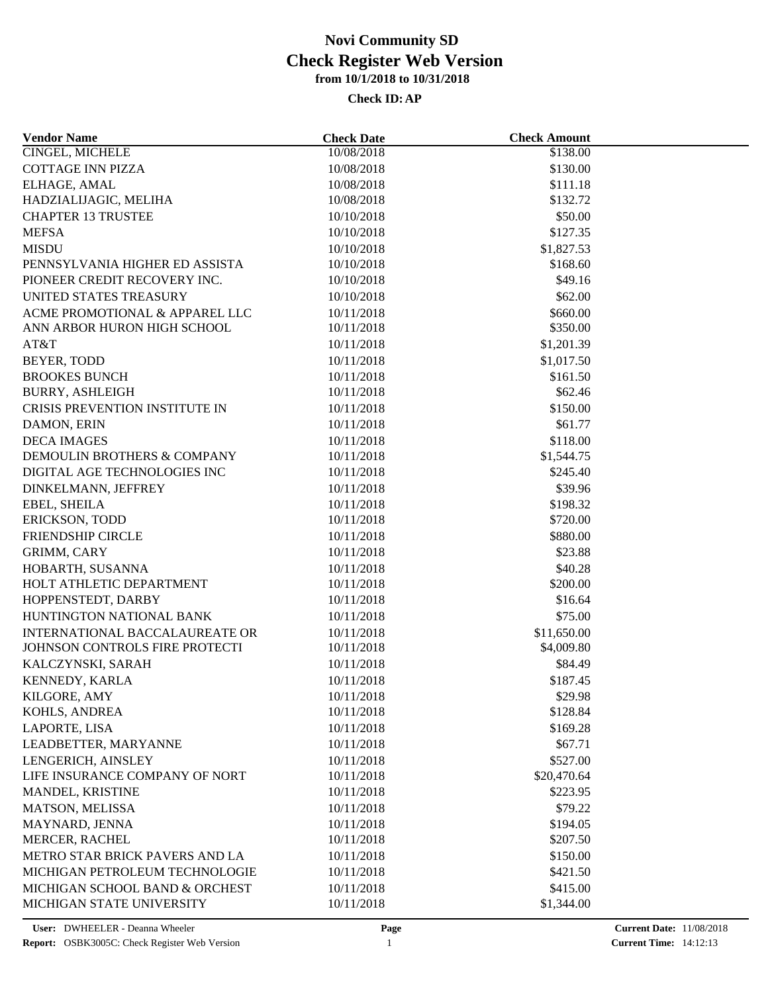| <b>Vendor Name</b>             | <b>Check Date</b> | <b>Check Amount</b> |  |
|--------------------------------|-------------------|---------------------|--|
| CINGEL, MICHELE                | 10/08/2018        | \$138.00            |  |
| <b>COTTAGE INN PIZZA</b>       | 10/08/2018        | \$130.00            |  |
| ELHAGE, AMAL                   | 10/08/2018        | \$111.18            |  |
| HADZIALIJAGIC, MELIHA          | 10/08/2018        | \$132.72            |  |
| <b>CHAPTER 13 TRUSTEE</b>      | 10/10/2018        | \$50.00             |  |
| <b>MEFSA</b>                   | 10/10/2018        | \$127.35            |  |
| <b>MISDU</b>                   | 10/10/2018        | \$1,827.53          |  |
| PENNSYLVANIA HIGHER ED ASSISTA | 10/10/2018        | \$168.60            |  |
| PIONEER CREDIT RECOVERY INC.   | 10/10/2018        | \$49.16             |  |
| UNITED STATES TREASURY         | 10/10/2018        | \$62.00             |  |
| ACME PROMOTIONAL & APPAREL LLC | 10/11/2018        | \$660.00            |  |
| ANN ARBOR HURON HIGH SCHOOL    | 10/11/2018        | \$350.00            |  |
| AT&T                           | 10/11/2018        | \$1,201.39          |  |
| BEYER, TODD                    | 10/11/2018        | \$1,017.50          |  |
| <b>BROOKES BUNCH</b>           | 10/11/2018        | \$161.50            |  |
| <b>BURRY, ASHLEIGH</b>         | 10/11/2018        | \$62.46             |  |
| CRISIS PREVENTION INSTITUTE IN | 10/11/2018        | \$150.00            |  |
| DAMON, ERIN                    | 10/11/2018        | \$61.77             |  |
| <b>DECA IMAGES</b>             | 10/11/2018        | \$118.00            |  |
| DEMOULIN BROTHERS & COMPANY    | 10/11/2018        | \$1,544.75          |  |
| DIGITAL AGE TECHNOLOGIES INC   | 10/11/2018        | \$245.40            |  |
| DINKELMANN, JEFFREY            | 10/11/2018        | \$39.96             |  |
| EBEL, SHEILA                   | 10/11/2018        | \$198.32            |  |
| ERICKSON, TODD                 | 10/11/2018        | \$720.00            |  |
| FRIENDSHIP CIRCLE              | 10/11/2018        | \$880.00            |  |
|                                |                   |                     |  |
| GRIMM, CARY                    | 10/11/2018        | \$23.88             |  |
| HOBARTH, SUSANNA               | 10/11/2018        | \$40.28             |  |
| HOLT ATHLETIC DEPARTMENT       | 10/11/2018        | \$200.00            |  |
| HOPPENSTEDT, DARBY             | 10/11/2018        | \$16.64             |  |
| HUNTINGTON NATIONAL BANK       | 10/11/2018        | \$75.00             |  |
| INTERNATIONAL BACCALAUREATE OR | 10/11/2018        | \$11,650.00         |  |
| JOHNSON CONTROLS FIRE PROTECTI | 10/11/2018        | \$4,009.80          |  |
| KALCZYNSKI, SARAH              | 10/11/2018        | \$84.49             |  |
| KENNEDY, KARLA                 | 10/11/2018        | \$187.45            |  |
| KILGORE, AMY                   | 10/11/2018        | \$29.98             |  |
| KOHLS, ANDREA                  | 10/11/2018        | \$128.84            |  |
| LAPORTE, LISA                  | 10/11/2018        | \$169.28            |  |
| LEADBETTER, MARYANNE           | 10/11/2018        | \$67.71             |  |
| LENGERICH, AINSLEY             | 10/11/2018        | \$527.00            |  |
| LIFE INSURANCE COMPANY OF NORT | 10/11/2018        | \$20,470.64         |  |
| MANDEL, KRISTINE               | 10/11/2018        | \$223.95            |  |
| MATSON, MELISSA                | 10/11/2018        | \$79.22             |  |
| MAYNARD, JENNA                 | 10/11/2018        | \$194.05            |  |
| MERCER, RACHEL                 | 10/11/2018        | \$207.50            |  |
| METRO STAR BRICK PAVERS AND LA | 10/11/2018        | \$150.00            |  |
| MICHIGAN PETROLEUM TECHNOLOGIE | 10/11/2018        | \$421.50            |  |
| MICHIGAN SCHOOL BAND & ORCHEST | 10/11/2018        | \$415.00            |  |
| MICHIGAN STATE UNIVERSITY      | 10/11/2018        | \$1,344.00          |  |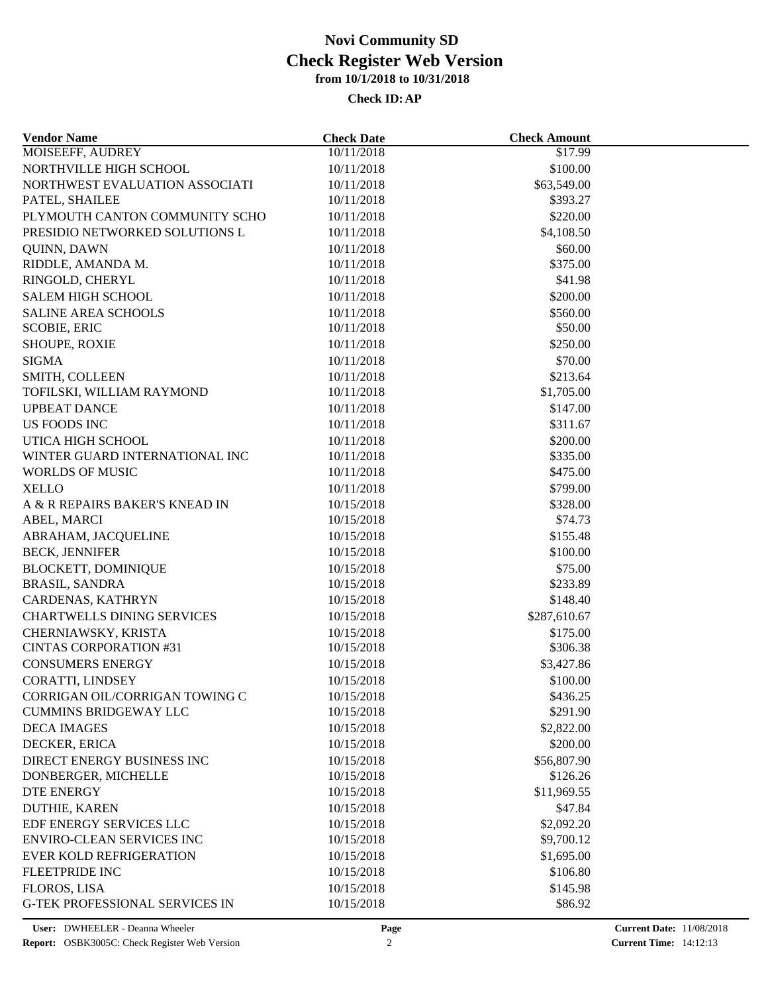| <b>Vendor Name</b>                    | <b>Check Date</b> | <b>Check Amount</b> |  |
|---------------------------------------|-------------------|---------------------|--|
| <b>MOISEEFF, AUDREY</b>               | 10/11/2018        | \$17.99             |  |
| NORTHVILLE HIGH SCHOOL                | 10/11/2018        | \$100.00            |  |
| NORTHWEST EVALUATION ASSOCIATI        | 10/11/2018        | \$63,549.00         |  |
| PATEL, SHAILEE                        | 10/11/2018        | \$393.27            |  |
| PLYMOUTH CANTON COMMUNITY SCHO        | 10/11/2018        | \$220.00            |  |
| PRESIDIO NETWORKED SOLUTIONS L        | 10/11/2018        | \$4,108.50          |  |
| QUINN, DAWN                           | 10/11/2018        | \$60.00             |  |
| RIDDLE, AMANDA M.                     | 10/11/2018        | \$375.00            |  |
| RINGOLD, CHERYL                       | 10/11/2018        | \$41.98             |  |
| <b>SALEM HIGH SCHOOL</b>              | 10/11/2018        | \$200.00            |  |
| <b>SALINE AREA SCHOOLS</b>            | 10/11/2018        | \$560.00            |  |
| <b>SCOBIE, ERIC</b>                   | 10/11/2018        | \$50.00             |  |
| SHOUPE, ROXIE                         | 10/11/2018        | \$250.00            |  |
| <b>SIGMA</b>                          | 10/11/2018        | \$70.00             |  |
| SMITH, COLLEEN                        | 10/11/2018        | \$213.64            |  |
| TOFILSKI, WILLIAM RAYMOND             | 10/11/2018        | \$1,705.00          |  |
| <b>UPBEAT DANCE</b>                   | 10/11/2018        | \$147.00            |  |
| US FOODS INC                          | 10/11/2018        | \$311.67            |  |
| UTICA HIGH SCHOOL                     | 10/11/2018        | \$200.00            |  |
| WINTER GUARD INTERNATIONAL INC        | 10/11/2018        | \$335.00            |  |
| <b>WORLDS OF MUSIC</b>                | 10/11/2018        | \$475.00            |  |
| <b>XELLO</b>                          |                   | \$799.00            |  |
|                                       | 10/11/2018        |                     |  |
| A & R REPAIRS BAKER'S KNEAD IN        | 10/15/2018        | \$328.00            |  |
| ABEL, MARCI                           | 10/15/2018        | \$74.73             |  |
| ABRAHAM, JACQUELINE                   | 10/15/2018        | \$155.48            |  |
| <b>BECK, JENNIFER</b>                 | 10/15/2018        | \$100.00            |  |
| BLOCKETT, DOMINIQUE                   | 10/15/2018        | \$75.00             |  |
| <b>BRASIL, SANDRA</b>                 | 10/15/2018        | \$233.89            |  |
| CARDENAS, KATHRYN                     | 10/15/2018        | \$148.40            |  |
| <b>CHARTWELLS DINING SERVICES</b>     | 10/15/2018        | \$287,610.67        |  |
| CHERNIAWSKY, KRISTA                   | 10/15/2018        | \$175.00            |  |
| <b>CINTAS CORPORATION #31</b>         | 10/15/2018        | \$306.38            |  |
| <b>CONSUMERS ENERGY</b>               | 10/15/2018        | \$3,427.86          |  |
| CORATTI, LINDSEY                      | 10/15/2018        | \$100.00            |  |
| CORRIGAN OIL/CORRIGAN TOWING C        | 10/15/2018        | \$436.25            |  |
| <b>CUMMINS BRIDGEWAY LLC</b>          | 10/15/2018        | \$291.90            |  |
| <b>DECA IMAGES</b>                    | 10/15/2018        | \$2,822.00          |  |
| DECKER, ERICA                         | 10/15/2018        | \$200.00            |  |
| DIRECT ENERGY BUSINESS INC            | 10/15/2018        | \$56,807.90         |  |
| DONBERGER, MICHELLE                   | 10/15/2018        | \$126.26            |  |
| DTE ENERGY                            | 10/15/2018        | \$11,969.55         |  |
| <b>DUTHIE, KAREN</b>                  | 10/15/2018        | \$47.84             |  |
| EDF ENERGY SERVICES LLC               | 10/15/2018        | \$2,092.20          |  |
| <b>ENVIRO-CLEAN SERVICES INC</b>      | 10/15/2018        | \$9,700.12          |  |
| <b>EVER KOLD REFRIGERATION</b>        | 10/15/2018        | \$1,695.00          |  |
| FLEETPRIDE INC                        | 10/15/2018        | \$106.80            |  |
| FLOROS, LISA                          | 10/15/2018        | \$145.98            |  |
| <b>G-TEK PROFESSIONAL SERVICES IN</b> | 10/15/2018        | \$86.92             |  |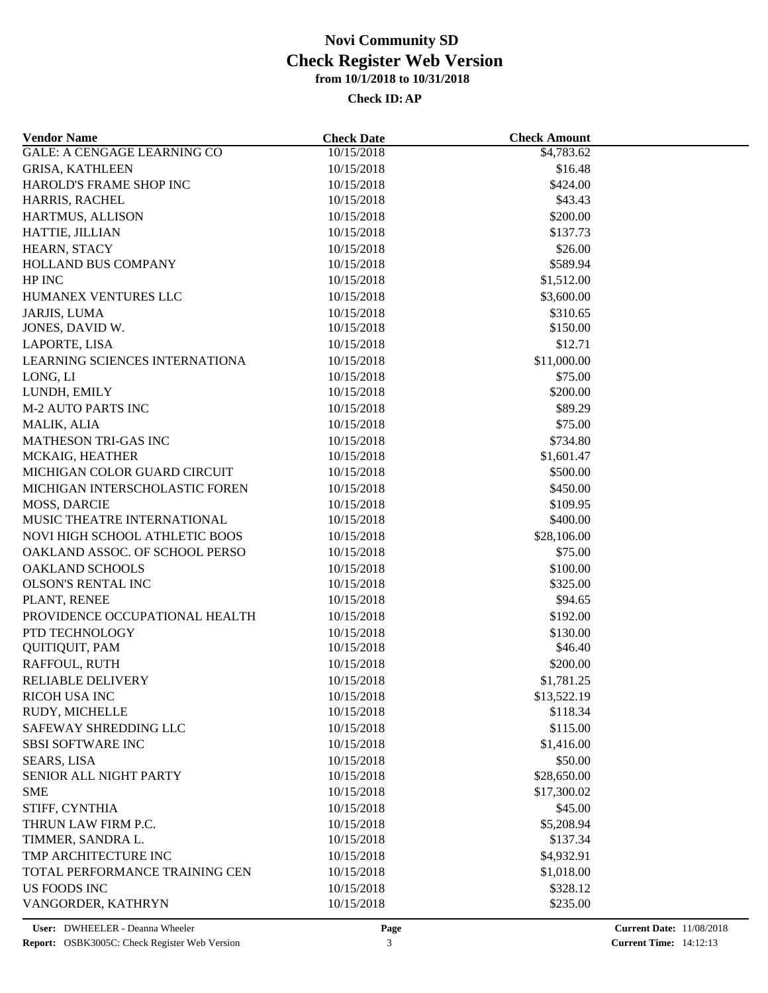| <b>Vendor Name</b>                          | <b>Check Date</b> | <b>Check Amount</b> |  |
|---------------------------------------------|-------------------|---------------------|--|
| <b>GALE: A CENGAGE LEARNING CO</b>          | 10/15/2018        | \$4,783.62          |  |
| <b>GRISA, KATHLEEN</b>                      | 10/15/2018        | \$16.48             |  |
| HAROLD'S FRAME SHOP INC                     | 10/15/2018        | \$424.00            |  |
| HARRIS, RACHEL                              | 10/15/2018        | \$43.43             |  |
| HARTMUS, ALLISON                            | 10/15/2018        | \$200.00            |  |
| HATTIE, JILLIAN                             | 10/15/2018        | \$137.73            |  |
| HEARN, STACY                                | 10/15/2018        | \$26.00             |  |
| HOLLAND BUS COMPANY                         | 10/15/2018        | \$589.94            |  |
| HP INC                                      | 10/15/2018        | \$1,512.00          |  |
| HUMANEX VENTURES LLC                        | 10/15/2018        | \$3,600.00          |  |
| JARJIS, LUMA                                | 10/15/2018        | \$310.65            |  |
| JONES, DAVID W.                             | 10/15/2018        | \$150.00            |  |
| LAPORTE, LISA                               | 10/15/2018        | \$12.71             |  |
| LEARNING SCIENCES INTERNATIONA              | 10/15/2018        | \$11,000.00         |  |
| LONG, LI                                    | 10/15/2018        | \$75.00             |  |
| LUNDH, EMILY                                | 10/15/2018        | \$200.00            |  |
| <b>M-2 AUTO PARTS INC</b>                   | 10/15/2018        | \$89.29             |  |
| <b>MALIK, ALIA</b>                          | 10/15/2018        | \$75.00             |  |
| MATHESON TRI-GAS INC                        | 10/15/2018        | \$734.80            |  |
| MCKAIG, HEATHER                             | 10/15/2018        | \$1,601.47          |  |
| MICHIGAN COLOR GUARD CIRCUIT                | 10/15/2018        | \$500.00            |  |
|                                             |                   |                     |  |
| MICHIGAN INTERSCHOLASTIC FOREN              | 10/15/2018        | \$450.00            |  |
| MOSS, DARCIE<br>MUSIC THEATRE INTERNATIONAL | 10/15/2018        | \$109.95            |  |
|                                             | 10/15/2018        | \$400.00            |  |
| NOVI HIGH SCHOOL ATHLETIC BOOS              | 10/15/2018        | \$28,106.00         |  |
| OAKLAND ASSOC. OF SCHOOL PERSO              | 10/15/2018        | \$75.00             |  |
| OAKLAND SCHOOLS                             | 10/15/2018        | \$100.00            |  |
| <b>OLSON'S RENTAL INC</b>                   | 10/15/2018        | \$325.00            |  |
| PLANT, RENEE                                | 10/15/2018        | \$94.65             |  |
| PROVIDENCE OCCUPATIONAL HEALTH              | 10/15/2018        | \$192.00            |  |
| PTD TECHNOLOGY                              | 10/15/2018        | \$130.00            |  |
| <b>QUITIQUIT, PAM</b>                       | 10/15/2018        | \$46.40             |  |
| RAFFOUL, RUTH                               | 10/15/2018        | \$200.00            |  |
| <b>RELIABLE DELIVERY</b>                    | 10/15/2018        | \$1,781.25          |  |
| RICOH USA INC                               | 10/15/2018        | \$13,522.19         |  |
| RUDY, MICHELLE                              | 10/15/2018        | \$118.34            |  |
| SAFEWAY SHREDDING LLC                       | 10/15/2018        | \$115.00            |  |
| <b>SBSI SOFTWARE INC</b>                    | 10/15/2018        | \$1,416.00          |  |
| <b>SEARS, LISA</b>                          | 10/15/2018        | \$50.00             |  |
| SENIOR ALL NIGHT PARTY                      | 10/15/2018        | \$28,650.00         |  |
| <b>SME</b>                                  | 10/15/2018        | \$17,300.02         |  |
| STIFF, CYNTHIA                              | 10/15/2018        | \$45.00             |  |
| THRUN LAW FIRM P.C.                         | 10/15/2018        | \$5,208.94          |  |
| TIMMER, SANDRA L.                           | 10/15/2018        | \$137.34            |  |
| TMP ARCHITECTURE INC                        | 10/15/2018        | \$4,932.91          |  |
| TOTAL PERFORMANCE TRAINING CEN              | 10/15/2018        | \$1,018.00          |  |
| <b>US FOODS INC</b>                         | 10/15/2018        | \$328.12            |  |
| VANGORDER, KATHRYN                          | 10/15/2018        | \$235.00            |  |
|                                             |                   |                     |  |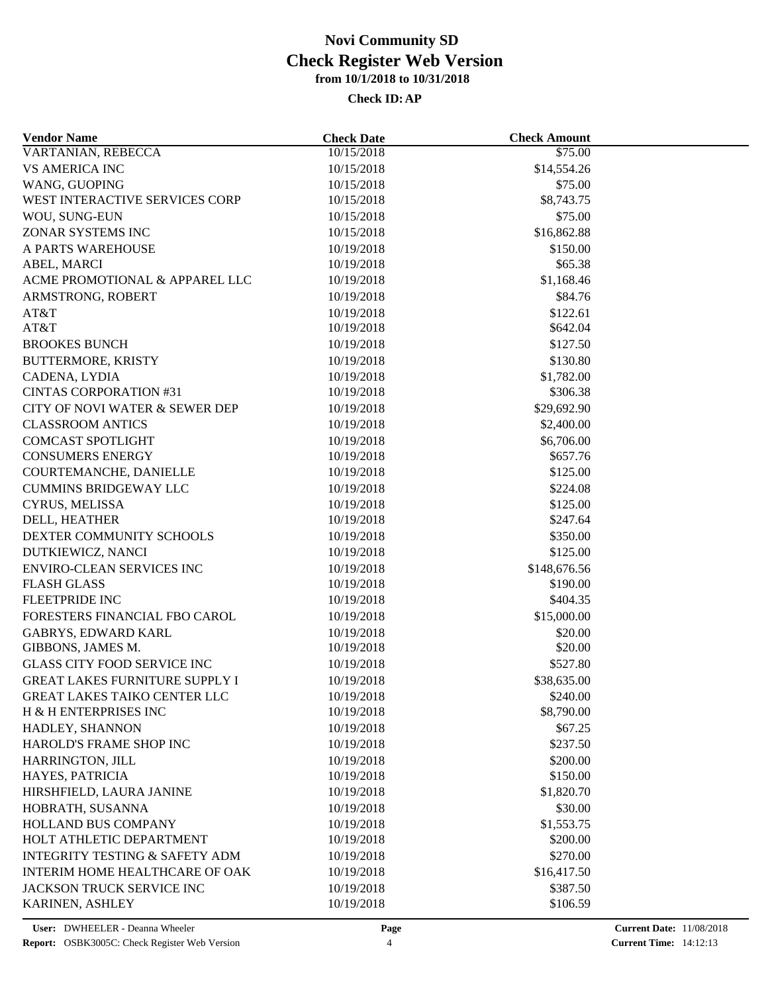| <b>Vendor Name</b>                        | <b>Check Date</b> | <b>Check Amount</b> |  |
|-------------------------------------------|-------------------|---------------------|--|
| VARTANIAN, REBECCA                        | 10/15/2018        | \$75.00             |  |
| <b>VS AMERICA INC</b>                     | 10/15/2018        | \$14,554.26         |  |
| WANG, GUOPING                             | 10/15/2018        | \$75.00             |  |
| WEST INTERACTIVE SERVICES CORP            | 10/15/2018        | \$8,743.75          |  |
| WOU, SUNG-EUN                             | 10/15/2018        | \$75.00             |  |
| ZONAR SYSTEMS INC                         | 10/15/2018        | \$16,862.88         |  |
| A PARTS WAREHOUSE                         | 10/19/2018        | \$150.00            |  |
| ABEL, MARCI                               | 10/19/2018        | \$65.38             |  |
| ACME PROMOTIONAL & APPAREL LLC            | 10/19/2018        | \$1,168.46          |  |
| ARMSTRONG, ROBERT                         | 10/19/2018        | \$84.76             |  |
| AT&T                                      | 10/19/2018        | \$122.61            |  |
| AT&T                                      | 10/19/2018        | \$642.04            |  |
| <b>BROOKES BUNCH</b>                      | 10/19/2018        | \$127.50            |  |
| BUTTERMORE, KRISTY                        | 10/19/2018        | \$130.80            |  |
| CADENA, LYDIA                             | 10/19/2018        | \$1,782.00          |  |
| <b>CINTAS CORPORATION #31</b>             | 10/19/2018        | \$306.38            |  |
| CITY OF NOVI WATER & SEWER DEP            | 10/19/2018        | \$29,692.90         |  |
| <b>CLASSROOM ANTICS</b>                   | 10/19/2018        | \$2,400.00          |  |
| <b>COMCAST SPOTLIGHT</b>                  | 10/19/2018        | \$6,706.00          |  |
| <b>CONSUMERS ENERGY</b>                   | 10/19/2018        | \$657.76            |  |
| COURTEMANCHE, DANIELLE                    | 10/19/2018        | \$125.00            |  |
| <b>CUMMINS BRIDGEWAY LLC</b>              | 10/19/2018        | \$224.08            |  |
| CYRUS, MELISSA                            | 10/19/2018        | \$125.00            |  |
| DELL, HEATHER                             | 10/19/2018        | \$247.64            |  |
| DEXTER COMMUNITY SCHOOLS                  | 10/19/2018        | \$350.00            |  |
|                                           |                   | \$125.00            |  |
| DUTKIEWICZ, NANCI                         | 10/19/2018        |                     |  |
| ENVIRO-CLEAN SERVICES INC                 | 10/19/2018        | \$148,676.56        |  |
| <b>FLASH GLASS</b>                        | 10/19/2018        | \$190.00            |  |
| <b>FLEETPRIDE INC</b>                     | 10/19/2018        | \$404.35            |  |
| FORESTERS FINANCIAL FBO CAROL             | 10/19/2018        | \$15,000.00         |  |
| <b>GABRYS, EDWARD KARL</b>                | 10/19/2018        | \$20.00             |  |
| GIBBONS, JAMES M.                         | 10/19/2018        | \$20.00             |  |
| <b>GLASS CITY FOOD SERVICE INC</b>        | 10/19/2018        | \$527.80            |  |
| <b>GREAT LAKES FURNITURE SUPPLY I</b>     | 10/19/2018        | \$38,635.00         |  |
| <b>GREAT LAKES TAIKO CENTER LLC</b>       | 10/19/2018        | \$240.00            |  |
| H & H ENTERPRISES INC                     | 10/19/2018        | \$8,790.00          |  |
| HADLEY, SHANNON                           | 10/19/2018        | \$67.25             |  |
| HAROLD'S FRAME SHOP INC                   | 10/19/2018        | \$237.50            |  |
| HARRINGTON, JILL                          | 10/19/2018        | \$200.00            |  |
| HAYES, PATRICIA                           | 10/19/2018        | \$150.00            |  |
| HIRSHFIELD, LAURA JANINE                  | 10/19/2018        | \$1,820.70          |  |
| HOBRATH, SUSANNA                          | 10/19/2018        | \$30.00             |  |
| HOLLAND BUS COMPANY                       | 10/19/2018        | \$1,553.75          |  |
| HOLT ATHLETIC DEPARTMENT                  | 10/19/2018        | \$200.00            |  |
| <b>INTEGRITY TESTING &amp; SAFETY ADM</b> | 10/19/2018        | \$270.00            |  |
| INTERIM HOME HEALTHCARE OF OAK            | 10/19/2018        | \$16,417.50         |  |
| JACKSON TRUCK SERVICE INC                 | 10/19/2018        | \$387.50            |  |
| KARINEN, ASHLEY                           | 10/19/2018        | \$106.59            |  |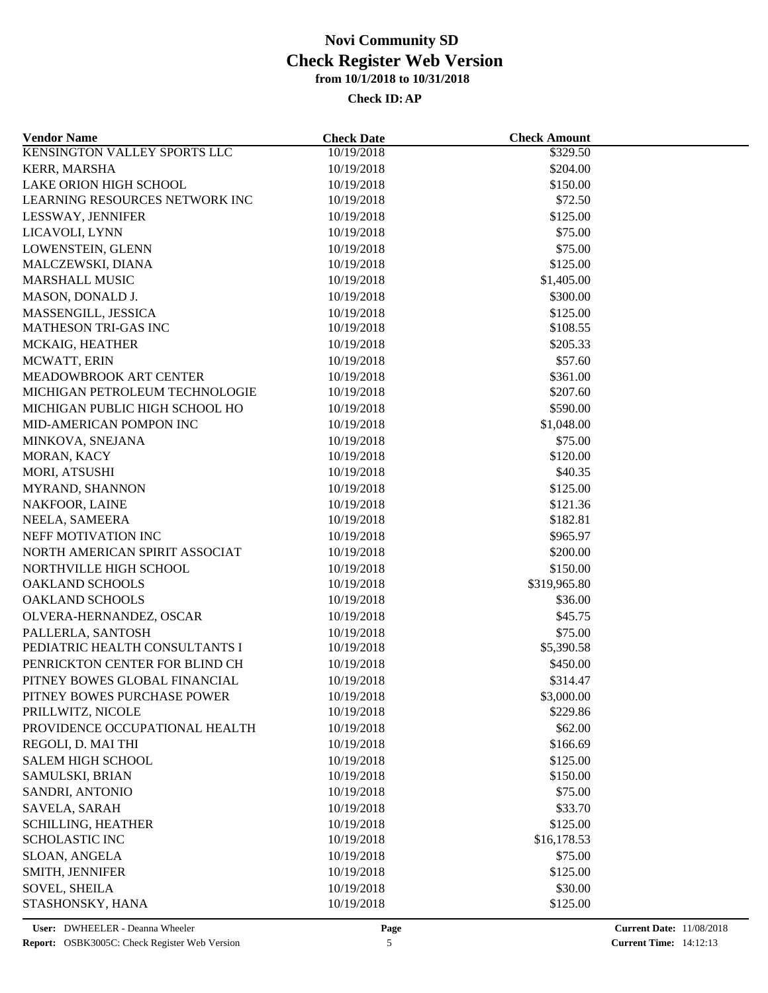| <b>Vendor Name</b>                                  | <b>Check Date</b>        | <b>Check Amount</b>    |  |
|-----------------------------------------------------|--------------------------|------------------------|--|
| KENSINGTON VALLEY SPORTS LLC                        | 10/19/2018               | \$329.50               |  |
| <b>KERR, MARSHA</b>                                 | 10/19/2018               | \$204.00               |  |
| LAKE ORION HIGH SCHOOL                              | 10/19/2018               | \$150.00               |  |
| LEARNING RESOURCES NETWORK INC                      | 10/19/2018               | \$72.50                |  |
| LESSWAY, JENNIFER                                   | 10/19/2018               | \$125.00               |  |
| LICAVOLI, LYNN                                      | 10/19/2018               | \$75.00                |  |
| LOWENSTEIN, GLENN                                   | 10/19/2018               | \$75.00                |  |
| MALCZEWSKI, DIANA                                   | 10/19/2018               | \$125.00               |  |
| <b>MARSHALL MUSIC</b>                               | 10/19/2018               | \$1,405.00             |  |
| MASON, DONALD J.                                    | 10/19/2018               | \$300.00               |  |
| MASSENGILL, JESSICA                                 | 10/19/2018               | \$125.00               |  |
| <b>MATHESON TRI-GAS INC</b>                         | 10/19/2018               | \$108.55               |  |
| MCKAIG, HEATHER                                     | 10/19/2018               | \$205.33               |  |
| MCWATT, ERIN                                        | 10/19/2018               | \$57.60                |  |
| MEADOWBROOK ART CENTER                              | 10/19/2018               | \$361.00               |  |
| MICHIGAN PETROLEUM TECHNOLOGIE                      | 10/19/2018               | \$207.60               |  |
| MICHIGAN PUBLIC HIGH SCHOOL HO                      | 10/19/2018               | \$590.00               |  |
| MID-AMERICAN POMPON INC                             | 10/19/2018               | \$1,048.00             |  |
| MINKOVA, SNEJANA                                    | 10/19/2018               | \$75.00                |  |
| MORAN, KACY                                         | 10/19/2018               | \$120.00               |  |
| MORI, ATSUSHI                                       | 10/19/2018               | \$40.35                |  |
| MYRAND, SHANNON                                     | 10/19/2018               | \$125.00               |  |
| NAKFOOR, LAINE                                      | 10/19/2018               | \$121.36               |  |
| NEELA, SAMEERA                                      | 10/19/2018               | \$182.81               |  |
| NEFF MOTIVATION INC                                 | 10/19/2018               | \$965.97               |  |
| NORTH AMERICAN SPIRIT ASSOCIAT                      | 10/19/2018               | \$200.00               |  |
| NORTHVILLE HIGH SCHOOL                              | 10/19/2018               | \$150.00               |  |
| <b>OAKLAND SCHOOLS</b>                              | 10/19/2018               | \$319,965.80           |  |
| <b>OAKLAND SCHOOLS</b>                              | 10/19/2018               | \$36.00                |  |
| OLVERA-HERNANDEZ, OSCAR                             | 10/19/2018               | \$45.75                |  |
|                                                     | 10/19/2018               |                        |  |
| PALLERLA, SANTOSH<br>PEDIATRIC HEALTH CONSULTANTS I | 10/19/2018               | \$75.00<br>\$5,390.58  |  |
| PENRICKTON CENTER FOR BLIND CH                      | 10/19/2018               | \$450.00               |  |
| PITNEY BOWES GLOBAL FINANCIAL                       |                          | \$314.47               |  |
| PITNEY BOWES PURCHASE POWER                         | 10/19/2018<br>10/19/2018 |                        |  |
|                                                     | 10/19/2018               | \$3,000.00<br>\$229.86 |  |
| PRILLWITZ, NICOLE<br>PROVIDENCE OCCUPATIONAL HEALTH |                          |                        |  |
|                                                     | 10/19/2018               | \$62.00                |  |
| REGOLI, D. MAI THI                                  | 10/19/2018               | \$166.69               |  |
| <b>SALEM HIGH SCHOOL</b>                            | 10/19/2018               | \$125.00               |  |
| SAMULSKI, BRIAN                                     | 10/19/2018               | \$150.00               |  |
| SANDRI, ANTONIO                                     | 10/19/2018               | \$75.00                |  |
| SAVELA, SARAH                                       | 10/19/2018               | \$33.70                |  |
| SCHILLING, HEATHER                                  | 10/19/2018               | \$125.00               |  |
| <b>SCHOLASTIC INC</b>                               | 10/19/2018               | \$16,178.53            |  |
| SLOAN, ANGELA                                       | 10/19/2018               | \$75.00                |  |
| SMITH, JENNIFER                                     | 10/19/2018               | \$125.00               |  |
| <b>SOVEL, SHEILA</b>                                | 10/19/2018               | \$30.00                |  |
| STASHONSKY, HANA                                    | 10/19/2018               | \$125.00               |  |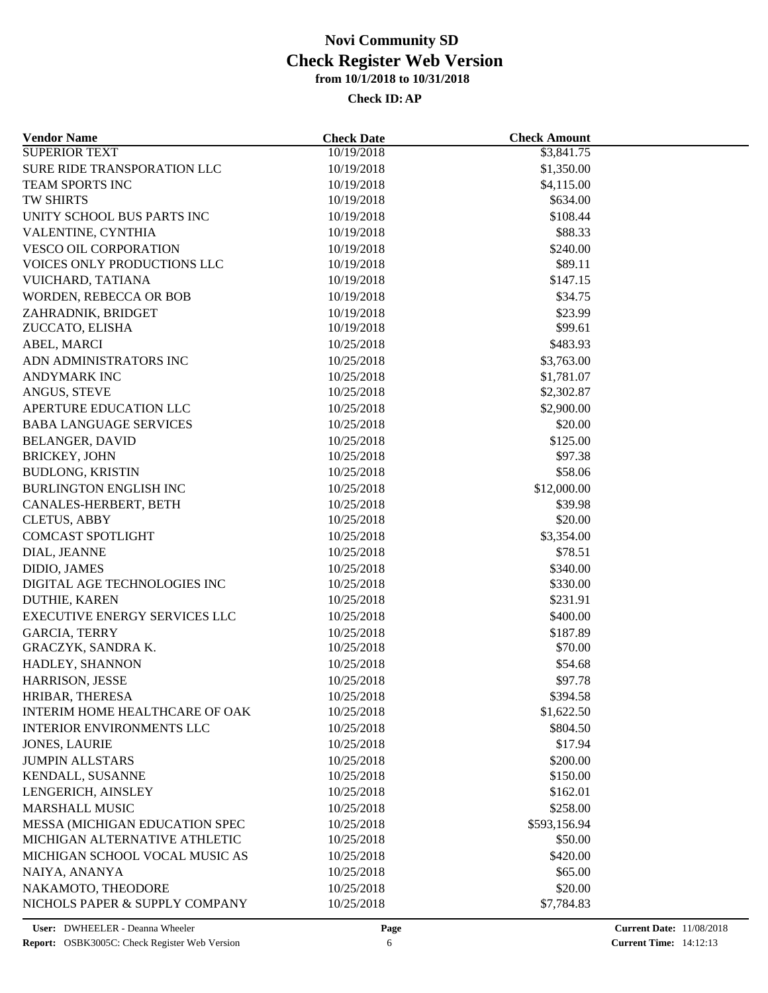| <b>Vendor Name</b>               | <b>Check Date</b> | <b>Check Amount</b> |  |
|----------------------------------|-------------------|---------------------|--|
| <b>SUPERIOR TEXT</b>             | 10/19/2018        | \$3,841.75          |  |
| SURE RIDE TRANSPORATION LLC      | 10/19/2018        | \$1,350.00          |  |
| TEAM SPORTS INC                  | 10/19/2018        | \$4,115.00          |  |
| TW SHIRTS                        | 10/19/2018        | \$634.00            |  |
| UNITY SCHOOL BUS PARTS INC       | 10/19/2018        | \$108.44            |  |
| VALENTINE, CYNTHIA               | 10/19/2018        | \$88.33             |  |
| VESCO OIL CORPORATION            | 10/19/2018        | \$240.00            |  |
| VOICES ONLY PRODUCTIONS LLC      | 10/19/2018        | \$89.11             |  |
| VUICHARD, TATIANA                | 10/19/2018        | \$147.15            |  |
| WORDEN, REBECCA OR BOB           | 10/19/2018        | \$34.75             |  |
| ZAHRADNIK, BRIDGET               | 10/19/2018        | \$23.99             |  |
| ZUCCATO, ELISHA                  | 10/19/2018        | \$99.61             |  |
| ABEL, MARCI                      | 10/25/2018        | \$483.93            |  |
| ADN ADMINISTRATORS INC           | 10/25/2018        | \$3,763.00          |  |
| ANDYMARK INC                     | 10/25/2018        | \$1,781.07          |  |
| ANGUS, STEVE                     | 10/25/2018        | \$2,302.87          |  |
| APERTURE EDUCATION LLC           | 10/25/2018        | \$2,900.00          |  |
| <b>BABA LANGUAGE SERVICES</b>    | 10/25/2018        | \$20.00             |  |
| <b>BELANGER, DAVID</b>           | 10/25/2018        | \$125.00            |  |
| <b>BRICKEY, JOHN</b>             | 10/25/2018        | \$97.38             |  |
| <b>BUDLONG, KRISTIN</b>          | 10/25/2018        | \$58.06             |  |
|                                  |                   |                     |  |
| <b>BURLINGTON ENGLISH INC</b>    | 10/25/2018        | \$12,000.00         |  |
| CANALES-HERBERT, BETH            | 10/25/2018        | \$39.98             |  |
| <b>CLETUS, ABBY</b>              | 10/25/2018        | \$20.00             |  |
| <b>COMCAST SPOTLIGHT</b>         | 10/25/2018        | \$3,354.00          |  |
| DIAL, JEANNE                     | 10/25/2018        | \$78.51             |  |
| DIDIO, JAMES                     | 10/25/2018        | \$340.00            |  |
| DIGITAL AGE TECHNOLOGIES INC     | 10/25/2018        | \$330.00            |  |
| <b>DUTHIE, KAREN</b>             | 10/25/2018        | \$231.91            |  |
| EXECUTIVE ENERGY SERVICES LLC    | 10/25/2018        | \$400.00            |  |
| <b>GARCIA, TERRY</b>             | 10/25/2018        | \$187.89            |  |
| <b>GRACZYK, SANDRA K.</b>        | 10/25/2018        | \$70.00             |  |
| HADLEY, SHANNON                  | 10/25/2018        | \$54.68             |  |
| HARRISON, JESSE                  | 10/25/2018        | \$97.78             |  |
| HRIBAR, THERESA                  | 10/25/2018        | \$394.58            |  |
| INTERIM HOME HEALTHCARE OF OAK   | 10/25/2018        | \$1,622.50          |  |
| <b>INTERIOR ENVIRONMENTS LLC</b> | 10/25/2018        | \$804.50            |  |
| <b>JONES, LAURIE</b>             | 10/25/2018        | \$17.94             |  |
| <b>JUMPIN ALLSTARS</b>           | 10/25/2018        | \$200.00            |  |
| KENDALL, SUSANNE                 | 10/25/2018        | \$150.00            |  |
| LENGERICH, AINSLEY               | 10/25/2018        | \$162.01            |  |
| <b>MARSHALL MUSIC</b>            | 10/25/2018        | \$258.00            |  |
| MESSA (MICHIGAN EDUCATION SPEC   | 10/25/2018        | \$593,156.94        |  |
| MICHIGAN ALTERNATIVE ATHLETIC    | 10/25/2018        | \$50.00             |  |
| MICHIGAN SCHOOL VOCAL MUSIC AS   | 10/25/2018        | \$420.00            |  |
| NAIYA, ANANYA                    | 10/25/2018        | \$65.00             |  |
| NAKAMOTO, THEODORE               | 10/25/2018        | \$20.00             |  |
| NICHOLS PAPER & SUPPLY COMPANY   | 10/25/2018        | \$7,784.83          |  |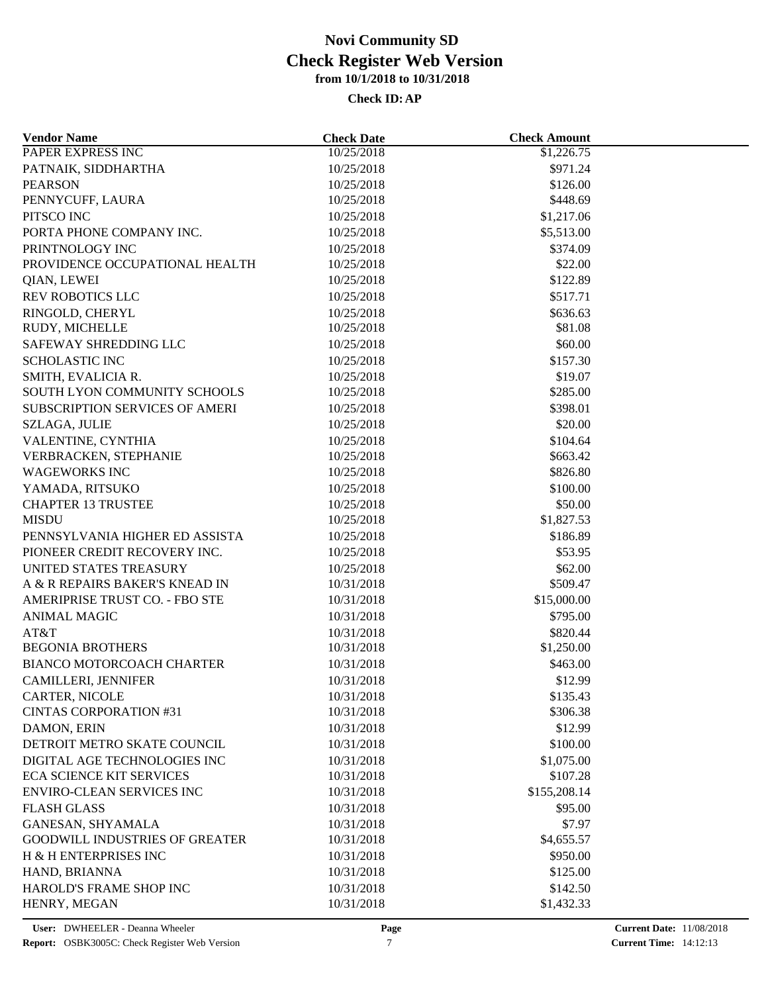| <b>Vendor Name</b>                    | <b>Check Date</b>        | <b>Check Amount</b> |  |
|---------------------------------------|--------------------------|---------------------|--|
| PAPER EXPRESS INC                     | 10/25/2018               | \$1,226.75          |  |
| PATNAIK, SIDDHARTHA                   | 10/25/2018               | \$971.24            |  |
| <b>PEARSON</b>                        | 10/25/2018               | \$126.00            |  |
| PENNYCUFF, LAURA                      | 10/25/2018               | \$448.69            |  |
| PITSCO INC                            | 10/25/2018               | \$1,217.06          |  |
| PORTA PHONE COMPANY INC.              | 10/25/2018               | \$5,513.00          |  |
| PRINTNOLOGY INC                       | 10/25/2018               | \$374.09            |  |
| PROVIDENCE OCCUPATIONAL HEALTH        | 10/25/2018               | \$22.00             |  |
| QIAN, LEWEI                           | 10/25/2018               | \$122.89            |  |
| <b>REV ROBOTICS LLC</b>               | 10/25/2018               | \$517.71            |  |
| RINGOLD, CHERYL                       | 10/25/2018               | \$636.63            |  |
| RUDY, MICHELLE                        | 10/25/2018               | \$81.08             |  |
| SAFEWAY SHREDDING LLC                 | 10/25/2018               | \$60.00             |  |
| <b>SCHOLASTIC INC</b>                 | 10/25/2018               | \$157.30            |  |
| SMITH, EVALICIA R.                    | 10/25/2018               | \$19.07             |  |
| SOUTH LYON COMMUNITY SCHOOLS          | 10/25/2018               | \$285.00            |  |
| SUBSCRIPTION SERVICES OF AMERI        | 10/25/2018               | \$398.01            |  |
| SZLAGA, JULIE                         | 10/25/2018               | \$20.00             |  |
| VALENTINE, CYNTHIA                    | 10/25/2018               | \$104.64            |  |
| VERBRACKEN, STEPHANIE                 | 10/25/2018               | \$663.42            |  |
| <b>WAGEWORKS INC</b>                  | 10/25/2018               | \$826.80            |  |
| YAMADA, RITSUKO                       | 10/25/2018               | \$100.00            |  |
| <b>CHAPTER 13 TRUSTEE</b>             | 10/25/2018               | \$50.00             |  |
| <b>MISDU</b>                          | 10/25/2018               | \$1,827.53          |  |
| PENNSYLVANIA HIGHER ED ASSISTA        | 10/25/2018               | \$186.89            |  |
| PIONEER CREDIT RECOVERY INC.          | 10/25/2018               | \$53.95             |  |
| UNITED STATES TREASURY                | 10/25/2018               | \$62.00             |  |
| A & R REPAIRS BAKER'S KNEAD IN        | 10/31/2018               | \$509.47            |  |
| AMERIPRISE TRUST CO. - FBO STE        | 10/31/2018               | \$15,000.00         |  |
| <b>ANIMAL MAGIC</b>                   | 10/31/2018               | \$795.00            |  |
| AT&T                                  | 10/31/2018               | \$820.44            |  |
| <b>BEGONIA BROTHERS</b>               | 10/31/2018               | \$1,250.00          |  |
| BIANCO MOTORCOACH CHARTER             | 10/31/2018               | \$463.00            |  |
| CAMILLERI, JENNIFER                   | 10/31/2018               | \$12.99             |  |
| CARTER, NICOLE                        |                          | \$135.43            |  |
| <b>CINTAS CORPORATION #31</b>         | 10/31/2018<br>10/31/2018 | \$306.38            |  |
|                                       | 10/31/2018               |                     |  |
| DAMON, ERIN                           |                          | \$12.99             |  |
| DETROIT METRO SKATE COUNCIL           | 10/31/2018               | \$100.00            |  |
| DIGITAL AGE TECHNOLOGIES INC          | 10/31/2018               | \$1,075.00          |  |
| <b>ECA SCIENCE KIT SERVICES</b>       | 10/31/2018               | \$107.28            |  |
| ENVIRO-CLEAN SERVICES INC             | 10/31/2018               | \$155,208.14        |  |
| <b>FLASH GLASS</b>                    | 10/31/2018               | \$95.00             |  |
| GANESAN, SHYAMALA                     | 10/31/2018               | \$7.97              |  |
| <b>GOODWILL INDUSTRIES OF GREATER</b> | 10/31/2018               | \$4,655.57          |  |
| H & H ENTERPRISES INC                 | 10/31/2018               | \$950.00            |  |
| HAND, BRIANNA                         | 10/31/2018               | \$125.00            |  |
| HAROLD'S FRAME SHOP INC               | 10/31/2018               | \$142.50            |  |
| HENRY, MEGAN                          | 10/31/2018               | \$1,432.33          |  |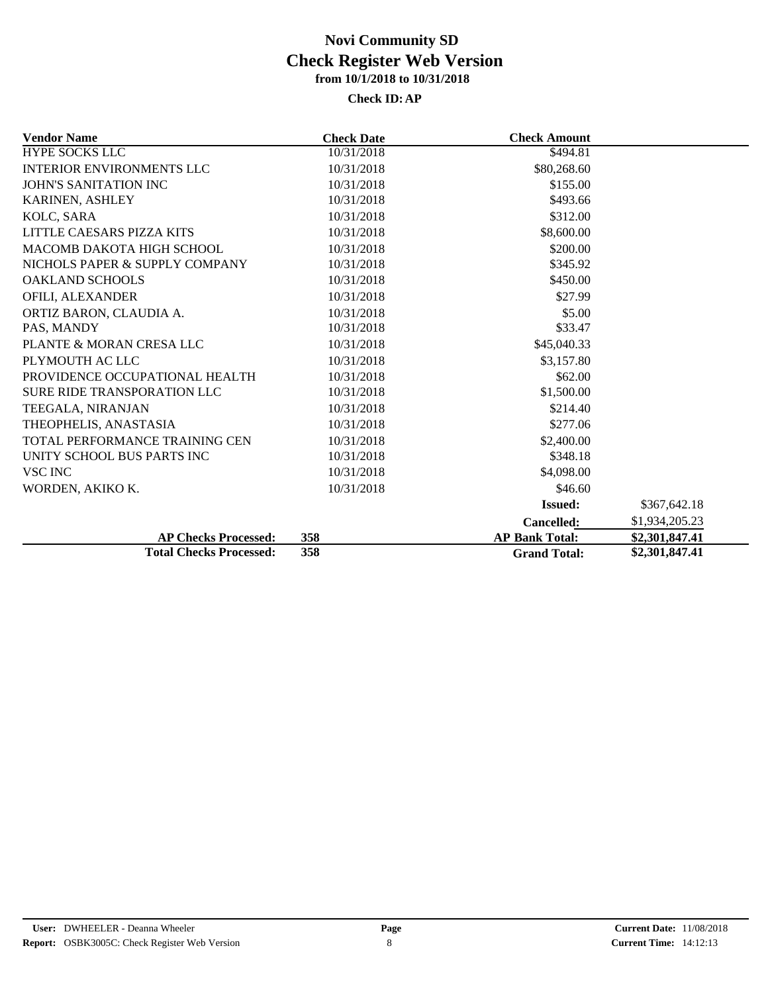| <b>Vendor Name</b>               | <b>Check Date</b> | <b>Check Amount</b>   |                |
|----------------------------------|-------------------|-----------------------|----------------|
| <b>HYPE SOCKS LLC</b>            | 10/31/2018        | \$494.81              |                |
| <b>INTERIOR ENVIRONMENTS LLC</b> | 10/31/2018        | \$80,268.60           |                |
| <b>JOHN'S SANITATION INC</b>     | 10/31/2018        | \$155.00              |                |
| KARINEN, ASHLEY                  | 10/31/2018        | \$493.66              |                |
| KOLC, SARA                       | 10/31/2018        | \$312.00              |                |
| LITTLE CAESARS PIZZA KITS        | 10/31/2018        | \$8,600.00            |                |
| <b>MACOMB DAKOTA HIGH SCHOOL</b> | 10/31/2018        | \$200.00              |                |
| NICHOLS PAPER & SUPPLY COMPANY   | 10/31/2018        | \$345.92              |                |
| <b>OAKLAND SCHOOLS</b>           | 10/31/2018        | \$450.00              |                |
| OFILI, ALEXANDER                 | 10/31/2018        | \$27.99               |                |
| ORTIZ BARON, CLAUDIA A.          | 10/31/2018        | \$5.00                |                |
| PAS, MANDY                       | 10/31/2018        | \$33.47               |                |
| PLANTE & MORAN CRESA LLC         | 10/31/2018        | \$45,040.33           |                |
| PLYMOUTH AC LLC                  | 10/31/2018        | \$3,157.80            |                |
| PROVIDENCE OCCUPATIONAL HEALTH   | 10/31/2018        | \$62.00               |                |
| SURE RIDE TRANSPORATION LLC      | 10/31/2018        | \$1,500.00            |                |
| TEEGALA, NIRANJAN                | 10/31/2018        | \$214.40              |                |
| THEOPHELIS, ANASTASIA            | 10/31/2018        | \$277.06              |                |
| TOTAL PERFORMANCE TRAINING CEN   | 10/31/2018        | \$2,400.00            |                |
| UNITY SCHOOL BUS PARTS INC       | 10/31/2018        | \$348.18              |                |
| VSC INC                          | 10/31/2018        | \$4,098.00            |                |
| WORDEN, AKIKO K.                 | 10/31/2018        | \$46.60               |                |
|                                  |                   | <b>Issued:</b>        | \$367,642.18   |
|                                  |                   | <b>Cancelled:</b>     | \$1,934,205.23 |
| <b>AP Checks Processed:</b>      | 358               | <b>AP Bank Total:</b> | \$2,301,847.41 |
| <b>Total Checks Processed:</b>   | 358               | <b>Grand Total:</b>   | \$2,301,847.41 |